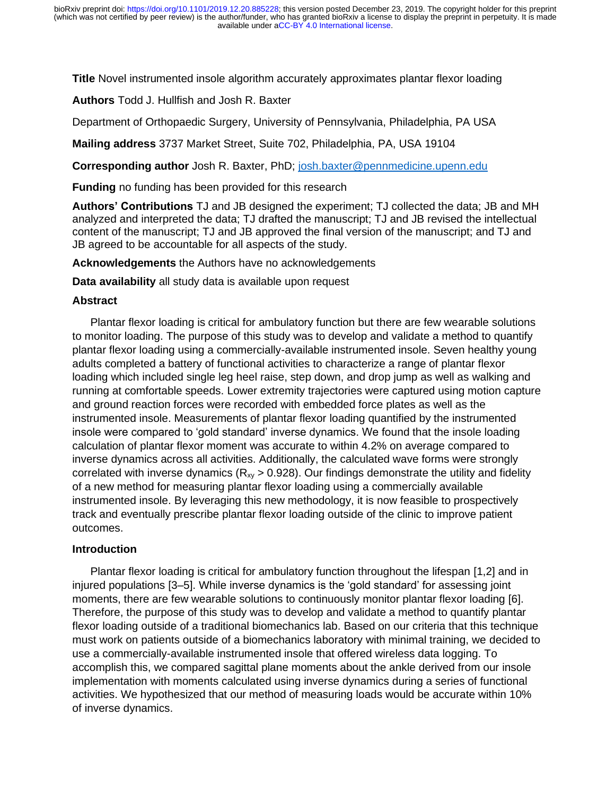**Title** Novel instrumented insole algorithm accurately approximates plantar flexor loading

**Authors** Todd J. Hullfish and Josh R. Baxter

Department of Orthopaedic Surgery, University of Pennsylvania, Philadelphia, PA USA

**Mailing address** 3737 Market Street, Suite 702, Philadelphia, PA, USA 19104

**Corresponding author** Josh R. Baxter, PhD; [josh.baxter@pennmedicine.upenn.edu](mailto:josh.baxter@pennmedicine.upenn.edu)

**Funding** no funding has been provided for this research

**Authors' Contributions** TJ and JB designed the experiment; TJ collected the data; JB and MH analyzed and interpreted the data; TJ drafted the manuscript; TJ and JB revised the intellectual content of the manuscript; TJ and JB approved the final version of the manuscript; and TJ and JB agreed to be accountable for all aspects of the study.

**Acknowledgements** the Authors have no acknowledgements

**Data availability** all study data is available upon request

### **Abstract**

Plantar flexor loading is critical for ambulatory function but there are few wearable solutions to monitor loading. The purpose of this study was to develop and validate a method to quantify plantar flexor loading using a commercially-available instrumented insole. Seven healthy young adults completed a battery of functional activities to characterize a range of plantar flexor loading which included single leg heel raise, step down, and drop jump as well as walking and running at comfortable speeds. Lower extremity trajectories were captured using motion capture and ground reaction forces were recorded with embedded force plates as well as the instrumented insole. Measurements of plantar flexor loading quantified by the instrumented insole were compared to 'gold standard' inverse dynamics. We found that the insole loading calculation of plantar flexor moment was accurate to within 4.2% on average compared to inverse dynamics across all activities. Additionally, the calculated wave forms were strongly correlated with inverse dynamics ( $R_{xy} > 0.928$ ). Our findings demonstrate the utility and fidelity of a new method for measuring plantar flexor loading using a commercially available instrumented insole. By leveraging this new methodology, it is now feasible to prospectively track and eventually prescribe plantar flexor loading outside of the clinic to improve patient outcomes.

### **Introduction**

Plantar flexor loading is critical for ambulatory function throughout the lifespan [1,2] and in injured populations [3–5]. While inverse dynamics is the 'gold standard' for assessing joint moments, there are few wearable solutions to continuously monitor plantar flexor loading [6]. Therefore, the purpose of this study was to develop and validate a method to quantify plantar flexor loading outside of a traditional biomechanics lab. Based on our criteria that this technique must work on patients outside of a biomechanics laboratory with minimal training, we decided to use a commercially-available instrumented insole that offered wireless data logging. To accomplish this, we compared sagittal plane moments about the ankle derived from our insole implementation with moments calculated using inverse dynamics during a series of functional activities. We hypothesized that our method of measuring loads would be accurate within 10% of inverse dynamics.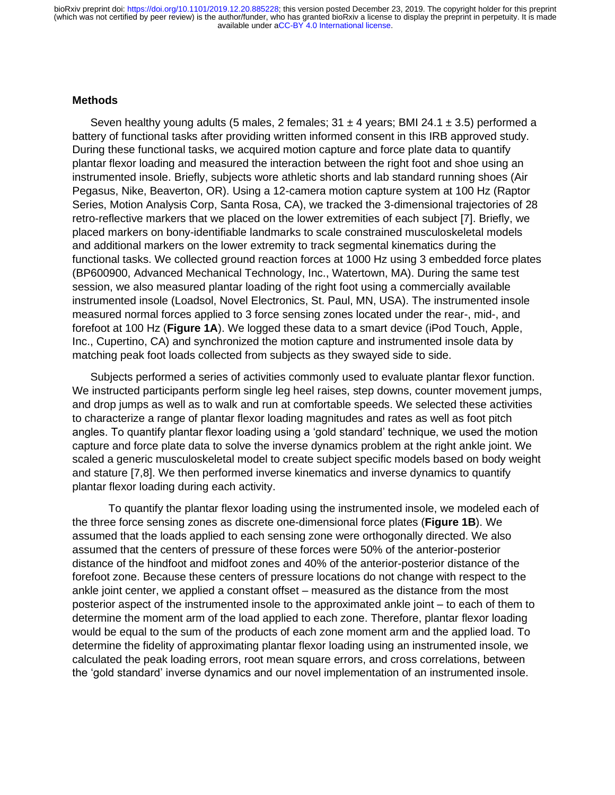available under [aCC-BY 4.0 International license.](http://creativecommons.org/licenses/by/4.0/) (which was not certified by peer review) is the author/funder, who has granted bioRxiv a license to display the preprint in perpetuity. It is made bioRxiv preprint doi: [https://doi.org/10.1101/2019.12.20.885228;](https://doi.org/10.1101/2019.12.20.885228) this version posted December 23, 2019. The copyright holder for this preprint

#### **Methods**

Seven healthy young adults (5 males, 2 females;  $31 \pm 4$  years; BMI 24.1  $\pm$  3.5) performed a battery of functional tasks after providing written informed consent in this IRB approved study. During these functional tasks, we acquired motion capture and force plate data to quantify plantar flexor loading and measured the interaction between the right foot and shoe using an instrumented insole. Briefly, subjects wore athletic shorts and lab standard running shoes (Air Pegasus, Nike, Beaverton, OR). Using a 12-camera motion capture system at 100 Hz (Raptor Series, Motion Analysis Corp, Santa Rosa, CA), we tracked the 3-dimensional trajectories of 28 retro-reflective markers that we placed on the lower extremities of each subject [7]. Briefly, we placed markers on bony-identifiable landmarks to scale constrained musculoskeletal models and additional markers on the lower extremity to track segmental kinematics during the functional tasks. We collected ground reaction forces at 1000 Hz using 3 embedded force plates (BP600900, Advanced Mechanical Technology, Inc., Watertown, MA). During the same test session, we also measured plantar loading of the right foot using a commercially available instrumented insole (Loadsol, Novel Electronics, St. Paul, MN, USA). The instrumented insole measured normal forces applied to 3 force sensing zones located under the rear-, mid-, and forefoot at 100 Hz (**Figure 1A**). We logged these data to a smart device (iPod Touch, Apple, Inc., Cupertino, CA) and synchronized the motion capture and instrumented insole data by matching peak foot loads collected from subjects as they swayed side to side.

Subjects performed a series of activities commonly used to evaluate plantar flexor function. We instructed participants perform single leg heel raises, step downs, counter movement jumps, and drop jumps as well as to walk and run at comfortable speeds. We selected these activities to characterize a range of plantar flexor loading magnitudes and rates as well as foot pitch angles. To quantify plantar flexor loading using a 'gold standard' technique, we used the motion capture and force plate data to solve the inverse dynamics problem at the right ankle joint. We scaled a generic musculoskeletal model to create subject specific models based on body weight and stature [7,8]. We then performed inverse kinematics and inverse dynamics to quantify plantar flexor loading during each activity.

To quantify the plantar flexor loading using the instrumented insole, we modeled each of the three force sensing zones as discrete one-dimensional force plates (**Figure 1B**). We assumed that the loads applied to each sensing zone were orthogonally directed. We also assumed that the centers of pressure of these forces were 50% of the anterior-posterior distance of the hindfoot and midfoot zones and 40% of the anterior-posterior distance of the forefoot zone. Because these centers of pressure locations do not change with respect to the ankle joint center, we applied a constant offset – measured as the distance from the most posterior aspect of the instrumented insole to the approximated ankle joint – to each of them to determine the moment arm of the load applied to each zone. Therefore, plantar flexor loading would be equal to the sum of the products of each zone moment arm and the applied load. To determine the fidelity of approximating plantar flexor loading using an instrumented insole, we calculated the peak loading errors, root mean square errors, and cross correlations, between the 'gold standard' inverse dynamics and our novel implementation of an instrumented insole.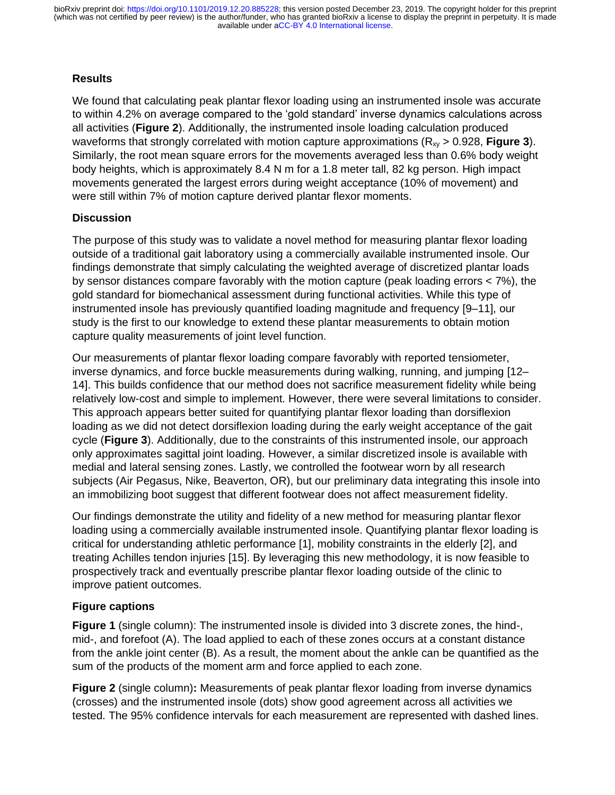## **Results**

We found that calculating peak plantar flexor loading using an instrumented insole was accurate to within 4.2% on average compared to the 'gold standard' inverse dynamics calculations across all activities (**Figure 2**). Additionally, the instrumented insole loading calculation produced waveforms that strongly correlated with motion capture approximations (R<sub>xy</sub> > 0.928, **Figure 3**). Similarly, the root mean square errors for the movements averaged less than 0.6% body weight body heights, which is approximately 8.4 N m for a 1.8 meter tall, 82 kg person. High impact movements generated the largest errors during weight acceptance (10% of movement) and were still within 7% of motion capture derived plantar flexor moments.

# **Discussion**

The purpose of this study was to validate a novel method for measuring plantar flexor loading outside of a traditional gait laboratory using a commercially available instrumented insole. Our findings demonstrate that simply calculating the weighted average of discretized plantar loads by sensor distances compare favorably with the motion capture (peak loading errors < 7%), the gold standard for biomechanical assessment during functional activities. While this type of instrumented insole has previously quantified loading magnitude and frequency [9–11], our study is the first to our knowledge to extend these plantar measurements to obtain motion capture quality measurements of joint level function.

Our measurements of plantar flexor loading compare favorably with reported tensiometer, inverse dynamics, and force buckle measurements during walking, running, and jumping [12– 14]. This builds confidence that our method does not sacrifice measurement fidelity while being relatively low-cost and simple to implement. However, there were several limitations to consider. This approach appears better suited for quantifying plantar flexor loading than dorsiflexion loading as we did not detect dorsiflexion loading during the early weight acceptance of the gait cycle (**Figure 3**). Additionally, due to the constraints of this instrumented insole, our approach only approximates sagittal joint loading. However, a similar discretized insole is available with medial and lateral sensing zones. Lastly, we controlled the footwear worn by all research subjects (Air Pegasus, Nike, Beaverton, OR), but our preliminary data integrating this insole into an immobilizing boot suggest that different footwear does not affect measurement fidelity.

Our findings demonstrate the utility and fidelity of a new method for measuring plantar flexor loading using a commercially available instrumented insole. Quantifying plantar flexor loading is critical for understanding athletic performance [1], mobility constraints in the elderly [2], and treating Achilles tendon injuries [15]. By leveraging this new methodology, it is now feasible to prospectively track and eventually prescribe plantar flexor loading outside of the clinic to improve patient outcomes.

# **Figure captions**

**Figure 1** (single column): The instrumented insole is divided into 3 discrete zones, the hind-, mid-, and forefoot (A). The load applied to each of these zones occurs at a constant distance from the ankle joint center (B). As a result, the moment about the ankle can be quantified as the sum of the products of the moment arm and force applied to each zone.

**Figure 2** (single column)**:** Measurements of peak plantar flexor loading from inverse dynamics (crosses) and the instrumented insole (dots) show good agreement across all activities we tested. The 95% confidence intervals for each measurement are represented with dashed lines.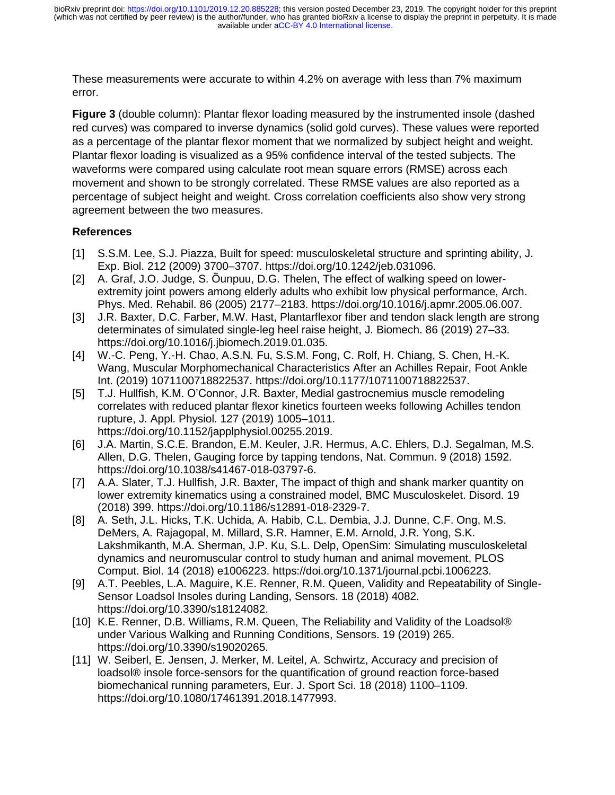These measurements were accurate to within 4.2% on average with less than 7% maximum error.

**Figure 3** (double column): Plantar flexor loading measured by the instrumented insole (dashed red curves) was compared to inverse dynamics (solid gold curves). These values were reported as a percentage of the plantar flexor moment that we normalized by subject height and weight. Plantar flexor loading is visualized as a 95% confidence interval of the tested subjects. The waveforms were compared using calculate root mean square errors (RMSE) across each movement and shown to be strongly correlated. These RMSE values are also reported as a percentage of subject height and weight. Cross correlation coefficients also show very strong agreement between the two measures.

## **References**

- [1] S.S.M. Lee, S.J. Piazza, Built for speed: musculoskeletal structure and sprinting ability, J. Exp. Biol. 212 (2009) 3700–3707. https://doi.org/10.1242/jeb.031096.
- [2] A. Graf, J.O. Judge, S. Õunpuu, D.G. Thelen, The effect of walking speed on lowerextremity joint powers among elderly adults who exhibit low physical performance, Arch. Phys. Med. Rehabil. 86 (2005) 2177–2183. https://doi.org/10.1016/j.apmr.2005.06.007.
- [3] J.R. Baxter, D.C. Farber, M.W. Hast, Plantarflexor fiber and tendon slack length are strong determinates of simulated single-leg heel raise height, J. Biomech. 86 (2019) 27–33. https://doi.org/10.1016/j.jbiomech.2019.01.035.
- [4] W.-C. Peng, Y.-H. Chao, A.S.N. Fu, S.S.M. Fong, C. Rolf, H. Chiang, S. Chen, H.-K. Wang, Muscular Morphomechanical Characteristics After an Achilles Repair, Foot Ankle Int. (2019) 1071100718822537. https://doi.org/10.1177/1071100718822537.
- [5] T.J. Hullfish, K.M. O'Connor, J.R. Baxter, Medial gastrocnemius muscle remodeling correlates with reduced plantar flexor kinetics fourteen weeks following Achilles tendon rupture, J. Appl. Physiol. 127 (2019) 1005–1011. https://doi.org/10.1152/japplphysiol.00255.2019.
- [6] J.A. Martin, S.C.E. Brandon, E.M. Keuler, J.R. Hermus, A.C. Ehlers, D.J. Segalman, M.S. Allen, D.G. Thelen, Gauging force by tapping tendons, Nat. Commun. 9 (2018) 1592. https://doi.org/10.1038/s41467-018-03797-6.
- [7] A.A. Slater, T.J. Hullfish, J.R. Baxter, The impact of thigh and shank marker quantity on lower extremity kinematics using a constrained model, BMC Musculoskelet. Disord. 19 (2018) 399. https://doi.org/10.1186/s12891-018-2329-7.
- [8] A. Seth, J.L. Hicks, T.K. Uchida, A. Habib, C.L. Dembia, J.J. Dunne, C.F. Ong, M.S. DeMers, A. Rajagopal, M. Millard, S.R. Hamner, E.M. Arnold, J.R. Yong, S.K. Lakshmikanth, M.A. Sherman, J.P. Ku, S.L. Delp, OpenSim: Simulating musculoskeletal dynamics and neuromuscular control to study human and animal movement, PLOS Comput. Biol. 14 (2018) e1006223. https://doi.org/10.1371/journal.pcbi.1006223.
- [9] A.T. Peebles, L.A. Maguire, K.E. Renner, R.M. Queen, Validity and Repeatability of Single-Sensor Loadsol Insoles during Landing, Sensors. 18 (2018) 4082. https://doi.org/10.3390/s18124082.
- [10] K.E. Renner, D.B. Williams, R.M. Queen, The Reliability and Validity of the Loadsol® under Various Walking and Running Conditions, Sensors. 19 (2019) 265. https://doi.org/10.3390/s19020265.
- [11] W. Seiberl, E. Jensen, J. Merker, M. Leitel, A. Schwirtz, Accuracy and precision of loadsol® insole force-sensors for the quantification of ground reaction force-based biomechanical running parameters, Eur. J. Sport Sci. 18 (2018) 1100–1109. https://doi.org/10.1080/17461391.2018.1477993.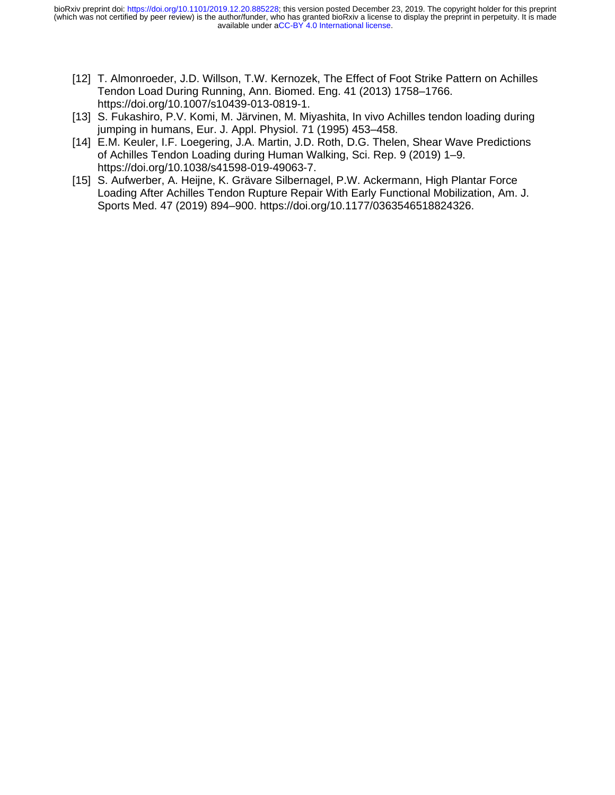- [12] T. Almonroeder, J.D. Willson, T.W. Kernozek, The Effect of Foot Strike Pattern on Achilles Tendon Load During Running, Ann. Biomed. Eng. 41 (2013) 1758–1766. https://doi.org/10.1007/s10439-013-0819-1.
- [13] S. Fukashiro, P.V. Komi, M. Järvinen, M. Miyashita, In vivo Achilles tendon loading during jumping in humans, Eur. J. Appl. Physiol. 71 (1995) 453–458.
- [14] E.M. Keuler, I.F. Loegering, J.A. Martin, J.D. Roth, D.G. Thelen, Shear Wave Predictions of Achilles Tendon Loading during Human Walking, Sci. Rep. 9 (2019) 1–9. https://doi.org/10.1038/s41598-019-49063-7.
- [15] S. Aufwerber, A. Heijne, K. Grävare Silbernagel, P.W. Ackermann, High Plantar Force Loading After Achilles Tendon Rupture Repair With Early Functional Mobilization, Am. J. Sports Med. 47 (2019) 894–900. https://doi.org/10.1177/0363546518824326.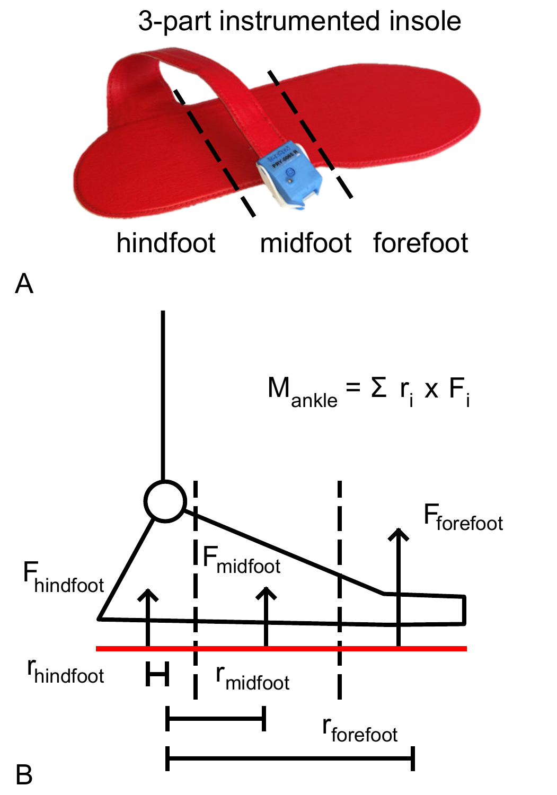#### 3-part instrumented insole

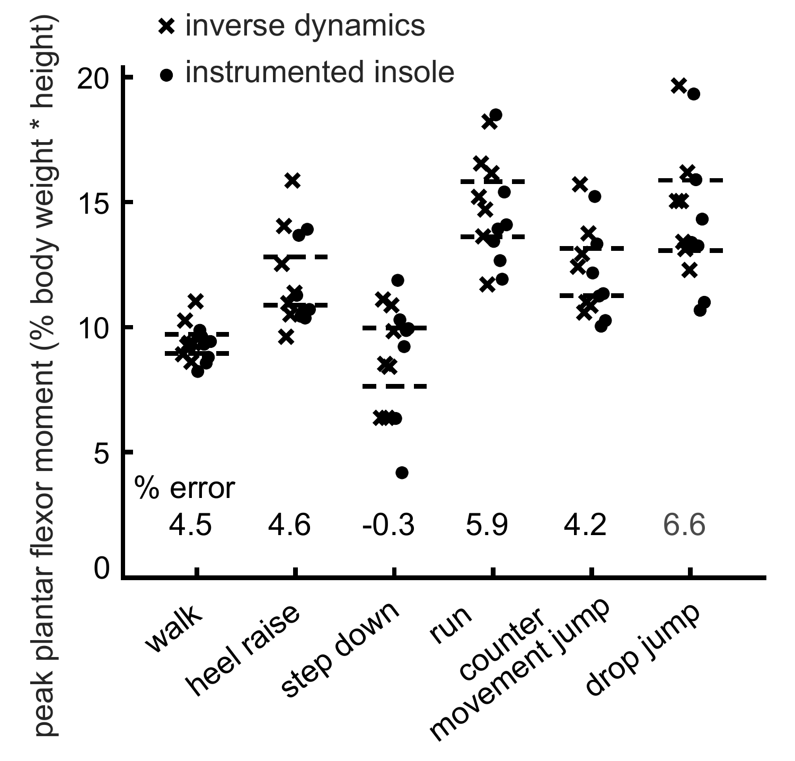